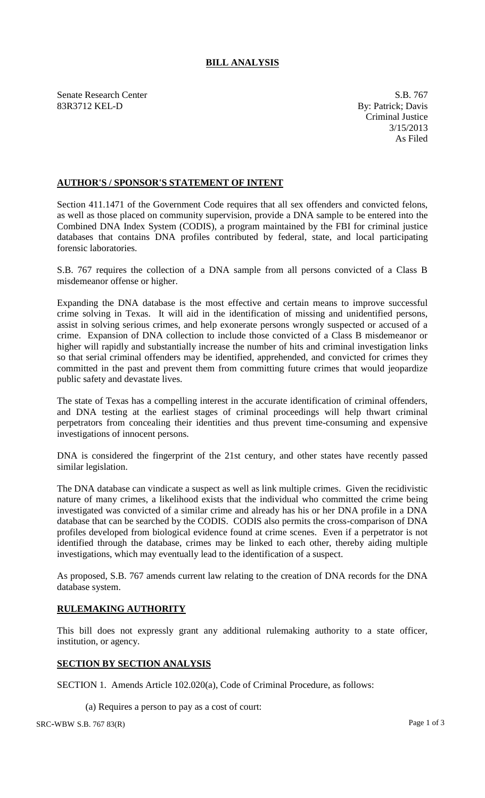## **BILL ANALYSIS**

Senate Research Center S.B. 767 83R3712 KEL-D By: Patrick; Davis

Criminal Justice 3/15/2013 As Filed

## **AUTHOR'S / SPONSOR'S STATEMENT OF INTENT**

Section 411.1471 of the Government Code requires that all sex offenders and convicted felons, as well as those placed on community supervision, provide a DNA sample to be entered into the Combined DNA Index System (CODIS), a program maintained by the FBI for criminal justice databases that contains DNA profiles contributed by federal, state, and local participating forensic laboratories.

S.B. 767 requires the collection of a DNA sample from all persons convicted of a Class B misdemeanor offense or higher.

Expanding the DNA database is the most effective and certain means to improve successful crime solving in Texas. It will aid in the identification of missing and unidentified persons, assist in solving serious crimes, and help exonerate persons wrongly suspected or accused of a crime. Expansion of DNA collection to include those convicted of a Class B misdemeanor or higher will rapidly and substantially increase the number of hits and criminal investigation links so that serial criminal offenders may be identified, apprehended, and convicted for crimes they committed in the past and prevent them from committing future crimes that would jeopardize public safety and devastate lives.

The state of Texas has a compelling interest in the accurate identification of criminal offenders, and DNA testing at the earliest stages of criminal proceedings will help thwart criminal perpetrators from concealing their identities and thus prevent time-consuming and expensive investigations of innocent persons.

DNA is considered the fingerprint of the 21st century, and other states have recently passed similar legislation.

The DNA database can vindicate a suspect as well as link multiple crimes. Given the recidivistic nature of many crimes, a likelihood exists that the individual who committed the crime being investigated was convicted of a similar crime and already has his or her DNA profile in a DNA database that can be searched by the CODIS. CODIS also permits the cross-comparison of DNA profiles developed from biological evidence found at crime scenes. Even if a perpetrator is not identified through the database, crimes may be linked to each other, thereby aiding multiple investigations, which may eventually lead to the identification of a suspect.

As proposed, S.B. 767 amends current law relating to the creation of DNA records for the DNA database system.

## **RULEMAKING AUTHORITY**

This bill does not expressly grant any additional rulemaking authority to a state officer, institution, or agency.

## **SECTION BY SECTION ANALYSIS**

SECTION 1. Amends Article 102.020(a), Code of Criminal Procedure, as follows:

(a) Requires a person to pay as a cost of court: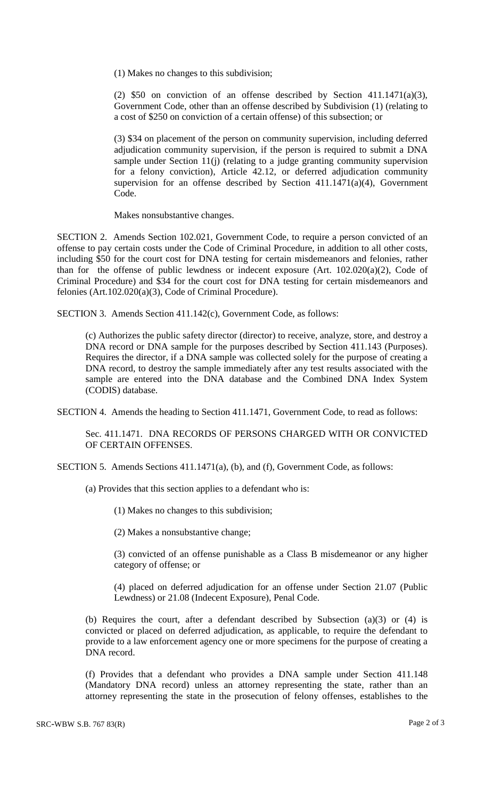(1) Makes no changes to this subdivision;

(2)  $$50$  on conviction of an offense described by Section 411.1471(a)(3), Government Code, other than an offense described by Subdivision (1) (relating to a cost of \$250 on conviction of a certain offense) of this subsection; or

(3) \$34 on placement of the person on community supervision, including deferred adjudication community supervision, if the person is required to submit a DNA sample under Section 11(j) (relating to a judge granting community supervision for a felony conviction), Article 42.12, or deferred adjudication community supervision for an offense described by Section 411.1471(a)(4), Government Code.

Makes nonsubstantive changes.

SECTION 2. Amends Section 102.021, Government Code, to require a person convicted of an offense to pay certain costs under the Code of Criminal Procedure, in addition to all other costs, including \$50 for the court cost for DNA testing for certain misdemeanors and felonies, rather than for the offense of public lewdness or indecent exposure (Art. 102.020(a)(2), Code of Criminal Procedure) and \$34 for the court cost for DNA testing for certain misdemeanors and felonies (Art.102.020(a)(3), Code of Criminal Procedure).

SECTION 3. Amends Section 411.142(c), Government Code, as follows:

(c) Authorizes the public safety director (director) to receive, analyze, store, and destroy a DNA record or DNA sample for the purposes described by Section 411.143 (Purposes). Requires the director, if a DNA sample was collected solely for the purpose of creating a DNA record, to destroy the sample immediately after any test results associated with the sample are entered into the DNA database and the Combined DNA Index System (CODIS) database.

SECTION 4. Amends the heading to Section 411.1471, Government Code, to read as follows:

Sec. 411.1471. DNA RECORDS OF PERSONS CHARGED WITH OR CONVICTED OF CERTAIN OFFENSES.

SECTION 5. Amends Sections 411.1471(a), (b), and (f), Government Code, as follows:

(a) Provides that this section applies to a defendant who is:

(1) Makes no changes to this subdivision;

(2) Makes a nonsubstantive change;

(3) convicted of an offense punishable as a Class B misdemeanor or any higher category of offense; or

(4) placed on deferred adjudication for an offense under Section 21.07 (Public Lewdness) or 21.08 (Indecent Exposure), Penal Code.

(b) Requires the court, after a defendant described by Subsection (a)(3) or (4) is convicted or placed on deferred adjudication, as applicable, to require the defendant to provide to a law enforcement agency one or more specimens for the purpose of creating a DNA record.

(f) Provides that a defendant who provides a DNA sample under Section 411.148 (Mandatory DNA record) unless an attorney representing the state, rather than an attorney representing the state in the prosecution of felony offenses, establishes to the